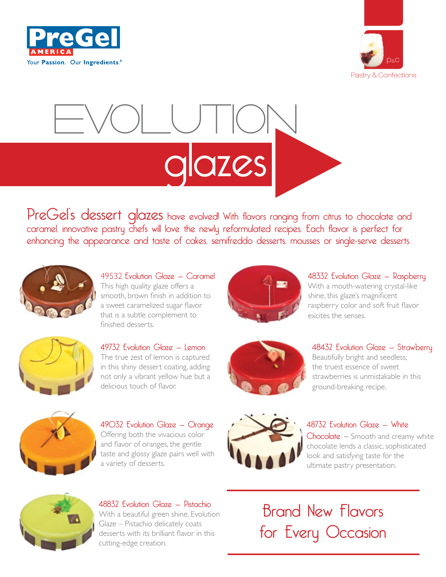



# evolution azes

PreGel's dessert glazes have evolved! With flavors ranging from citrus to chocolate and caramel, innovative pastry chefs will love the newly reformulated recipes. Each flavor is perfect for enhancing the appearance and taste of cakes, semifreddo desserts, mousses or single-serve desserts.



49532 Evolution Glaze — Caramel This high quality glaze offers a smooth, brown finish in addition to a sweet caramelized sugar flavor that is a subtle complement to finished desserts.



49732 Evolution Glaze — Lemon The true zest of lemon is captured in this shiny dessert coating, adding not only a vibrant yellow hue but a delicious touch of flavor.



48332 Evolution Glaze — Raspberry With a mouth-watering crystal-like shine, this glaze's magnificent raspberry color and soft fruit flavor excites the senses.



48432 Evolution Glaze — Strawberry Beautifully bright and seedless; the truest essence of sweet strawberries is unmistakable in this ground-breaking recipe.



49032 Evolution Glaze — Orange Offering both the vivacious color and flavor of oranges, the gentle taste and glossy glaze pairs well with a variety of desserts.



#### 48732 Evolution Glaze — White

Chocolate – Smooth and creamy white chocolate lends a classic, sophisticated look and satisfying taste for the ultimate pastry presentation.



48832 Evolution Glaze — Pistachio With a beautiful green shine, Evolution Glaze – Pistachio delicately coats desserts with its brilliant flavor in this cutting-edge creation.

Brand New Flavors for Every Occasion